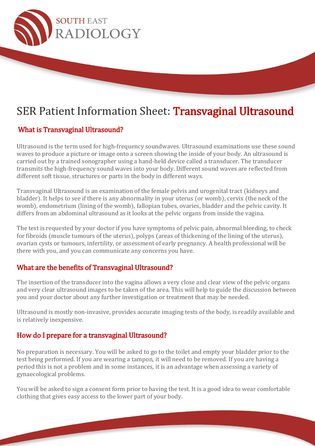

# SER Patient Information Sheet: Transvaginal Ultrasound

## What is Transvaginal Ultrasound?

Ultrasound is the term used for high-frequency soundwaves. Ultrasound examinations use these sound waves to produce a picture or image onto a screen showing the inside of your body. An ultrasound is carried out by a trained sonographer using a hand-held device called a transducer. The transducer transmits the high-frequency sound waves into your body. Different sound waves are reflected from different soft tissue, structures or parts in the body in different ways.

Transvaginal Ultrasound is an examination of the female pelvis and urogenital tract (kidneys and bladder). It helps to see if there is any abnormality in your uterus (or womb), cervix (the neck of the womb), endometrium (lining of the womb), fallopian tubes, ovaries, bladder and the pelvic cavity. It differs from an abdominal ultrasound as it looks at the pelvic organs from inside the vagina.

The test is requested by your doctor if you have symptoms of pelvic pain, abnormal bleeding, to check for fibroids (muscle tumours of the uterus), polyps (areas of thickening of the lining of the uterus), ovarian cysts or tumours, infertility, or assessment of early pregnancy. A health professional will be there with you, and you can communicate any concerns you have.

#### What are the benefits of Transvaginal Ultrasound?

The insertion of the transducer into the vagina allows a very close and clear view of the pelvic organs and very clear ultrasound images to be taken of the area. This will help to guide the discussion between you and your doctor about any further investigation or treatment that may be needed.

Ultrasound is mostly non-invasive, provides accurate imaging tests of the body, is readily available and is relatively inexpensive.

#### How do I prepare for a transvaginal Ultrasound?

No preparation is necessary. You will be asked to go to the toilet and empty your bladder prior to the test being performed. If you are wearing a tampon, it will need to be removed. If you are having a period this is not a problem and in some instances, it is an advantage when assessing a variety of gynaecological problems.

You will be asked to sign a consent form prior to having the test. It is a good idea to wear comfortable clothing that gives easy access to the lower part of your body.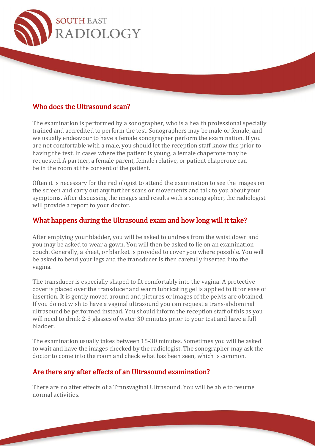

#### Who does the Ultrasound scan?

The examination is performed by a sonographer, who is a health professional specially trained and accredited to perform the test. Sonographers may be male or female, and we usually endeavour to have a female sonographer perform the examination. If you are not comfortable with a male, you should let the reception staff know this prior to having the test. In cases where the patient is young, a female chaperone may be requested. A partner, a female parent, female relative, or patient chaperone can be in the room at the consent of the patient.

Often it is necessary for the radiologist to attend the examination to see the images on the screen and carry out any further scans or movements and talk to you about your symptoms. After discussing the images and results with a sonographer, the radiologist will provide a report to your doctor.

#### What happens during the Ultrasound exam and how long will it take?

After emptying your bladder, you will be asked to undress from the waist down and you may be asked to wear a gown. You will then be asked to lie on an examination couch. Generally, a sheet, or blanket is provided to cover you where possible. You will be asked to bend your legs and the transducer is then carefully inserted into the vagina.

The transducer is especially shaped to fit comfortably into the vagina. A protective cover is placed over the transducer and warm lubricating gel is applied to it for ease of insertion. It is gently moved around and pictures or images of the pelvis are obtained. If you do not wish to have a vaginal ultrasound you can request a trans-abdominal ultrasound be performed instead. You should inform the reception staff of this as you will need to drink 2-3 glasses of water 30 minutes prior to your test and have a full bladder.

The examination usually takes between 15-30 minutes. Sometimes you will be asked to wait and have the images checked by the radiologist. The sonographer may ask the doctor to come into the room and check what has been seen, which is common.

#### Are there any after effects of an Ultrasound examination?

There are no after effects of a Transvaginal Ultrasound. You will be able to resume normal activities.